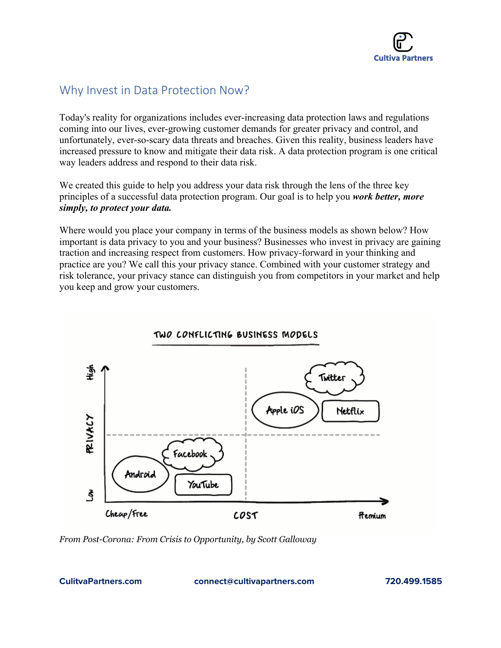

# Why Invest in Data Protection Now?

Today's reality for organizations includes ever-increasing data protection laws and regulations coming into our lives, ever-growing customer demands for greater privacy and control, and unfortunately, ever-so-scary data threats and breaches. Given this reality, business leaders have increased pressure to know and mitigate their data risk. A data protection program is one critical way leaders address and respond to their data risk.

We created this guide to help you address your data risk through the lens of the three key principles of a successful data protection program. Our goal is to help you *work better, more simply, to protect your data.*

Where would you place your company in terms of the business models as shown below? How important is data privacy to you and your business? Businesses who invest in privacy are gaining traction and increasing respect from customers. How privacy-forward in your thinking and practice are you? We call this your privacy stance. Combined with your customer strategy and risk tolerance, your privacy stance can distinguish you from competitors in your market and help you keep and grow your customers.



#### *From Post-Corona: From Crisis to Opportunity, by Scott Galloway*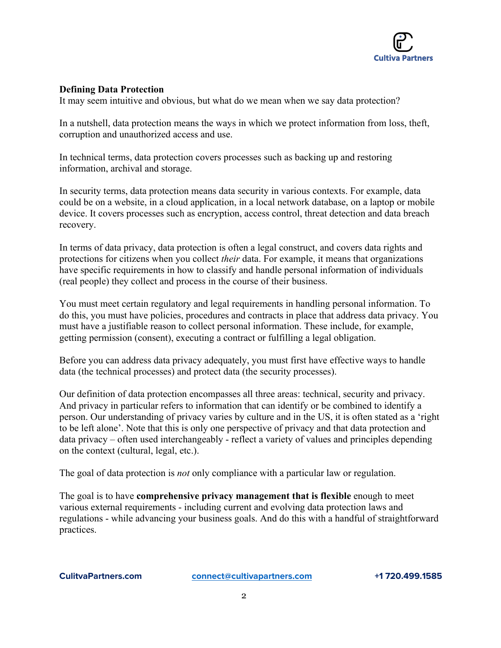

## **Defining Data Protection**

It may seem intuitive and obvious, but what do we mean when we say data protection?

In a nutshell, data protection means the ways in which we protect information from loss, theft, corruption and unauthorized access and use.

In technical terms, data protection covers processes such as backing up and restoring information, archival and storage.

In security terms, data protection means data security in various contexts. For example, data could be on a website, in a cloud application, in a local network database, on a laptop or mobile device. It covers processes such as encryption, access control, threat detection and data breach recovery.

In terms of data privacy, data protection is often a legal construct, and covers data rights and protections for citizens when you collect *their* data. For example, it means that organizations have specific requirements in how to classify and handle personal information of individuals (real people) they collect and process in the course of their business.

You must meet certain regulatory and legal requirements in handling personal information. To do this, you must have policies, procedures and contracts in place that address data privacy. You must have a justifiable reason to collect personal information. These include, for example, getting permission (consent), executing a contract or fulfilling a legal obligation.

Before you can address data privacy adequately, you must first have effective ways to handle data (the technical processes) and protect data (the security processes).

Our definition of data protection encompasses all three areas: technical, security and privacy. And privacy in particular refers to information that can identify or be combined to identify a person. Our understanding of privacy varies by culture and in the US, it is often stated as a 'right to be left alone'. Note that this is only one perspective of privacy and that data protection and data privacy – often used interchangeably - reflect a variety of values and principles depending on the context (cultural, legal, etc.).

The goal of data protection is *not* only compliance with a particular law or regulation.

The goal is to have **comprehensive privacy management that is flexible** enough to meet various external requirements - including current and evolving data protection laws and regulations - while advancing your business goals. And do this with a handful of straightforward practices.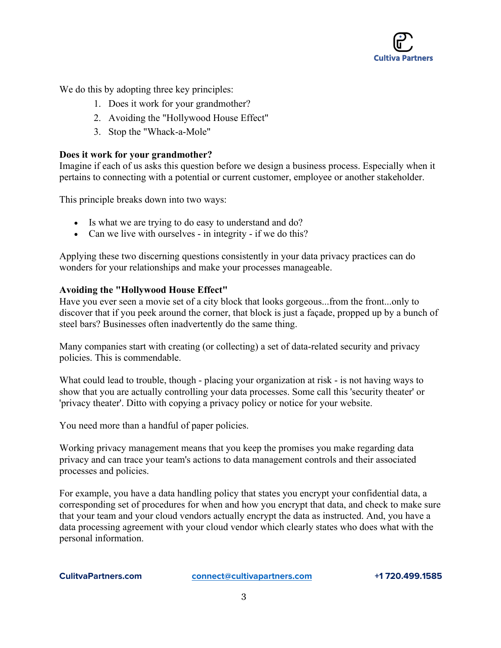

We do this by adopting three key principles:

- 1. Does it work for your grandmother?
- 2. Avoiding the "Hollywood House Effect"
- 3. Stop the "Whack-a-Mole"

#### **Does it work for your grandmother?**

Imagine if each of us asks this question before we design a business process. Especially when it pertains to connecting with a potential or current customer, employee or another stakeholder.

This principle breaks down into two ways:

- Is what we are trying to do easy to understand and do?
- Can we live with ourselves in integrity if we do this?

Applying these two discerning questions consistently in your data privacy practices can do wonders for your relationships and make your processes manageable.

#### **Avoiding the "Hollywood House Effect"**

Have you ever seen a movie set of a city block that looks gorgeous...from the front...only to discover that if you peek around the corner, that block is just a façade, propped up by a bunch of steel bars? Businesses often inadvertently do the same thing.

Many companies start with creating (or collecting) a set of data-related security and privacy policies. This is commendable.

What could lead to trouble, though - placing your organization at risk - is not having ways to show that you are actually controlling your data processes. Some call this 'security theater' or 'privacy theater'. Ditto with copying a privacy policy or notice for your website.

You need more than a handful of paper policies.

Working privacy management means that you keep the promises you make regarding data privacy and can trace your team's actions to data management controls and their associated processes and policies.

For example, you have a data handling policy that states you encrypt your confidential data, a corresponding set of procedures for when and how you encrypt that data, and check to make sure that your team and your cloud vendors actually encrypt the data as instructed. And, you have a data processing agreement with your cloud vendor which clearly states who does what with the personal information.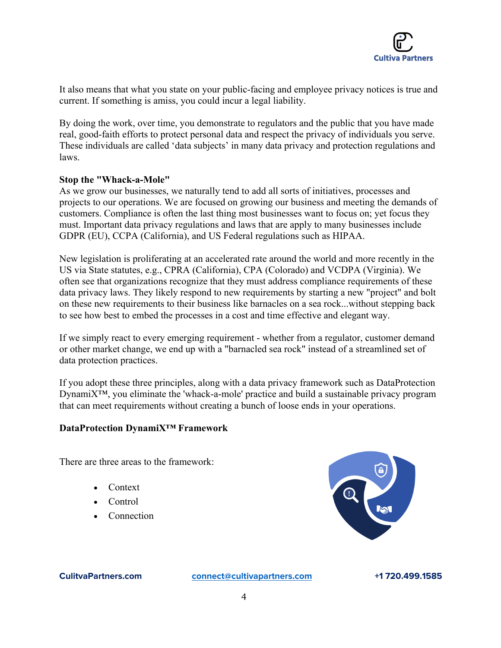

It also means that what you state on your public-facing and employee privacy notices is true and current. If something is amiss, you could incur a legal liability.

By doing the work, over time, you demonstrate to regulators and the public that you have made real, good-faith efforts to protect personal data and respect the privacy of individuals you serve. These individuals are called 'data subjects' in many data privacy and protection regulations and laws.

#### **Stop the "Whack-a-Mole"**

As we grow our businesses, we naturally tend to add all sorts of initiatives, processes and projects to our operations. We are focused on growing our business and meeting the demands of customers. Compliance is often the last thing most businesses want to focus on; yet focus they must. Important data privacy regulations and laws that are apply to many businesses include GDPR (EU), CCPA (California), and US Federal regulations such as HIPAA.

New legislation is proliferating at an accelerated rate around the world and more recently in the US via State statutes, e.g., CPRA (California), CPA (Colorado) and VCDPA (Virginia). We often see that organizations recognize that they must address compliance requirements of these data privacy laws. They likely respond to new requirements by starting a new "project" and bolt on these new requirements to their business like barnacles on a sea rock...without stepping back to see how best to embed the processes in a cost and time effective and elegant way.

If we simply react to every emerging requirement - whether from a regulator, customer demand or other market change, we end up with a "barnacled sea rock" instead of a streamlined set of data protection practices.

If you adopt these three principles, along with a data privacy framework such as DataProtection DynamiX™, you eliminate the 'whack-a-mole' practice and build a sustainable privacy program that can meet requirements without creating a bunch of loose ends in your operations.

#### **DataProtection DynamiX™ Framework**

There are three areas to the framework:

- Context
- Control
- **Connection**

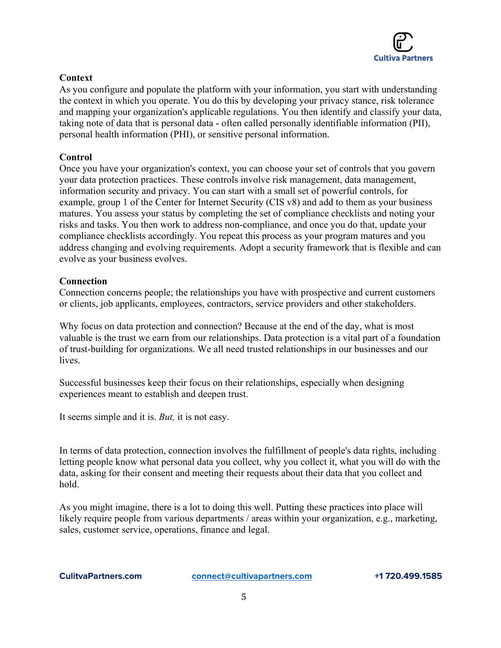

## **Context**

As you configure and populate the platform with your information, you start with understanding the context in which you operate. You do this by developing your privacy stance, risk tolerance and mapping your organization's applicable regulations. You then identify and classify your data, taking note of data that is personal data - often called personally identifiable information (PII), personal health information (PHI), or sensitive personal information.

### **Control**

Once you have your organization's context, you can choose your set of controls that you govern your data protection practices. These controls involve risk management, data management, information security and privacy. You can start with a small set of powerful controls, for example, group 1 of the Center for Internet Security (CIS v8) and add to them as your business matures. You assess your status by completing the set of compliance checklists and noting your risks and tasks. You then work to address non-compliance, and once you do that, update your compliance checklists accordingly. You repeat this process as your program matures and you address changing and evolving requirements. Adopt a security framework that is flexible and can evolve as your business evolves.

## **Connection**

Connection concerns people; the relationships you have with prospective and current customers or clients, job applicants, employees, contractors, service providers and other stakeholders.

Why focus on data protection and connection? Because at the end of the day, what is most valuable is the trust we earn from our relationships. Data protection is a vital part of a foundation of trust-building for organizations. We all need trusted relationships in our businesses and our lives.

Successful businesses keep their focus on their relationships, especially when designing experiences meant to establish and deepen trust.

It seems simple and it is. *But,* it is not easy.

In terms of data protection, connection involves the fulfillment of people's data rights, including letting people know what personal data you collect, why you collect it, what you will do with the data, asking for their consent and meeting their requests about their data that you collect and hold.

As you might imagine, there is a lot to doing this well. Putting these practices into place will likely require people from various departments / areas within your organization, e.g., marketing, sales, customer service, operations, finance and legal.